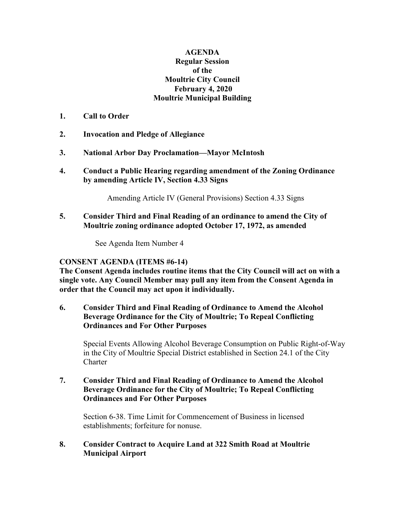## **AGENDA Regular Session of the Moultrie City Council February 4, 2020 Moultrie Municipal Building**

- **1. Call to Order**
- **2. Invocation and Pledge of Allegiance**
- **3. National Arbor Day Proclamation—Mayor McIntosh**
- **4. Conduct a Public Hearing regarding amendment of the Zoning Ordinance by amending Article IV, Section 4.33 Signs**

Amending Article IV (General Provisions) Section 4.33 Signs

**5. Consider Third and Final Reading of an ordinance to amend the City of Moultrie zoning ordinance adopted October 17, 1972, as amended**

See Agenda Item Number 4

## **CONSENT AGENDA (ITEMS #6-14)**

**The Consent Agenda includes routine items that the City Council will act on with a single vote. Any Council Member may pull any item from the Consent Agenda in order that the Council may act upon it individually.**

**6. Consider Third and Final Reading of Ordinance to Amend the Alcohol Beverage Ordinance for the City of Moultrie; To Repeal Conflicting Ordinances and For Other Purposes**

Special Events Allowing Alcohol Beverage Consumption on Public Right-of-Way in the City of Moultrie Special District established in Section 24.1 of the City Charter

**7. Consider Third and Final Reading of Ordinance to Amend the Alcohol Beverage Ordinance for the City of Moultrie; To Repeal Conflicting Ordinances and For Other Purposes**

Section 6-38. Time Limit for Commencement of Business in licensed establishments; forfeiture for nonuse.

## **8. Consider Contract to Acquire Land at 322 Smith Road at Moultrie Municipal Airport**